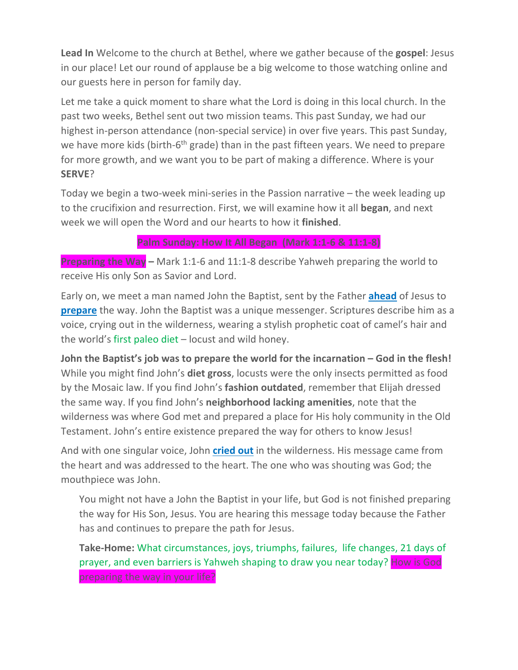**Lead In** Welcome to the church at Bethel, where we gather because of the **gospel**: Jesus in our place! Let our round of applause be a big welcome to those watching online and our guests here in person for family day.

Let me take a quick moment to share what the Lord is doing in this local church. In the past two weeks, Bethel sent out two mission teams. This past Sunday, we had our highest in-person attendance (non-special service) in over five years. This past Sunday, we have more kids (birth-6<sup>th</sup> grade) than in the past fifteen years. We need to prepare for more growth, and we want you to be part of making a difference. Where is your **SERVE**?

Today we begin a two-week mini-series in the Passion narrative – the week leading up to the crucifixion and resurrection. First, we will examine how it all **began**, and next week we will open the Word and our hearts to how it **finished**.

#### **Palm Sunday: How It All Began (Mark 1:1-6 & 11:1-8)**

**Preparing the Way –** Mark 1:1-6 and 11:1-8 describe Yahweh preparing the world to receive His only Son as Savior and Lord.

Early on, we meet a man named John the Baptist, sent by the Father **ahead** of Jesus to **prepare** the way. John the Baptist was a unique messenger. Scriptures describe him as a voice, crying out in the wilderness, wearing a stylish prophetic coat of camel's hair and the world's first paleo diet – locust and wild honey.

**John the Baptist's job was to prepare the world for the incarnation – God in the flesh!** While you might find John's **diet gross**, locusts were the only insects permitted as food by the Mosaic law. If you find John's **fashion outdated**, remember that Elijah dressed the same way. If you find John's **neighborhood lacking amenities**, note that the wilderness was where God met and prepared a place for His holy community in the Old Testament. John's entire existence prepared the way for others to know Jesus!

And with one singular voice, John **cried out** in the wilderness. His message came from the heart and was addressed to the heart. The one who was shouting was God; the mouthpiece was John.

You might not have a John the Baptist in your life, but God is not finished preparing the way for His Son, Jesus. You are hearing this message today because the Father has and continues to prepare the path for Jesus.

**Take-Home:** What circumstances, joys, triumphs, failures, life changes, 21 days of prayer, and even barriers is Yahweh shaping to draw you near today? How is God preparing the way in your life?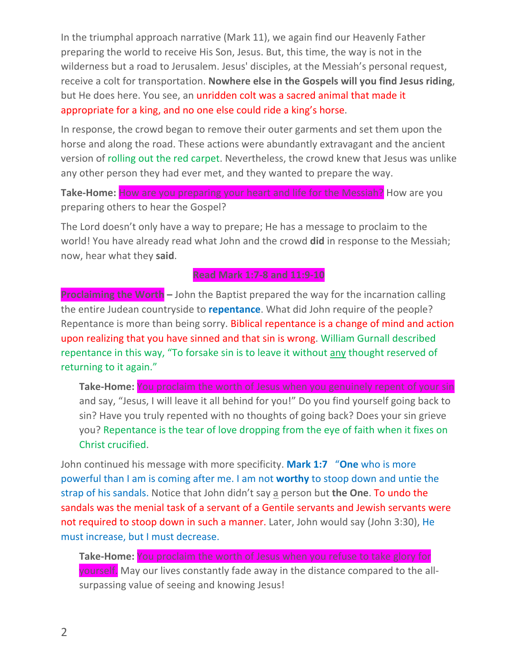In the triumphal approach narrative (Mark 11), we again find our Heavenly Father preparing the world to receive His Son, Jesus. But, this time, the way is not in the wilderness but a road to Jerusalem. Jesus' disciples, at the Messiah's personal request, receive a colt for transportation. **Nowhere else in the Gospels will you find Jesus riding**, but He does here. You see, an unridden colt was a sacred animal that made it appropriate for a king, and no one else could ride a king's horse.

In response, the crowd began to remove their outer garments and set them upon the horse and along the road. These actions were abundantly extravagant and the ancient version of rolling out the red carpet. Nevertheless, the crowd knew that Jesus was unlike any other person they had ever met, and they wanted to prepare the way.

**Take-Home:** How are you preparing your heart and life for the Messiah? How are you preparing others to hear the Gospel?

The Lord doesn't only have a way to prepare; He has a message to proclaim to the world! You have already read what John and the crowd **did** in response to the Messiah; now, hear what they **said**.

#### **Read Mark 1:7-8 and 11:9-10**

**Proclaiming the Worth –** John the Baptist prepared the way for the incarnation calling the entire Judean countryside to **repentance**. What did John require of the people? Repentance is more than being sorry. Biblical repentance is a change of mind and action upon realizing that you have sinned and that sin is wrong. William Gurnall described repentance in this way, "To forsake sin is to leave it without any thought reserved of returning to it again."

**Take-Home:** You proclaim the worth of Jesus when you genuinely repent of your sin and say, "Jesus, I will leave it all behind for you!" Do you find yourself going back to sin? Have you truly repented with no thoughts of going back? Does your sin grieve you? Repentance is the tear of love dropping from the eye of faith when it fixes on Christ crucified.

John continued his message with more specificity. **Mark 1:7** "**One** who is more powerful than I am is coming after me. I am not **worthy** to stoop down and untie the strap of his sandals. Notice that John didn't say a person but **the One**. To undo the sandals was the menial task of a servant of a Gentile servants and Jewish servants were not required to stoop down in such a manner. Later, John would say (John 3:30), He must increase, but I must decrease.

**Take-Home:** You proclaim the worth of Jesus when you refuse to take glory for yourself. May our lives constantly fade away in the distance compared to the allsurpassing value of seeing and knowing Jesus!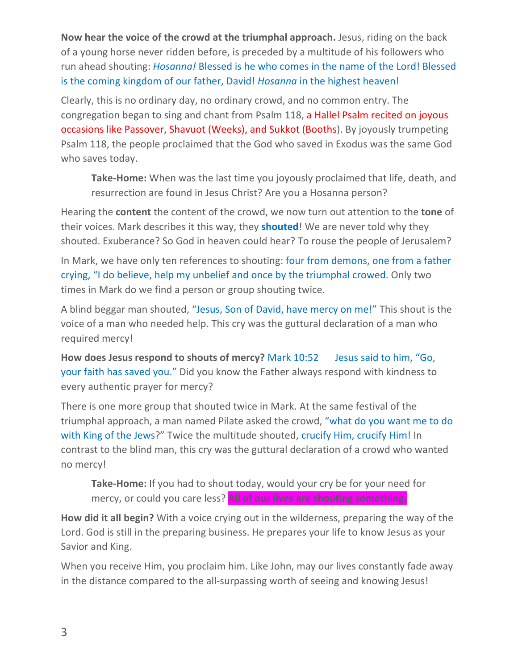**Now hear the voice of the crowd at the triumphal approach.** Jesus, riding on the back of a young horse never ridden before, is preceded by a multitude of his followers who run ahead shouting: *Hosanna!* Blessed is he who comes in the name of the Lord! Blessed is the coming kingdom of our father, David! *Hosanna* in the highest heaven!

Clearly, this is no ordinary day, no ordinary crowd, and no common entry. The congregation began to sing and chant from Psalm 118, a Hallel Psalm recited on joyous occasions like Passover, Shavuot (Weeks), and Sukkot (Booths). By joyously trumpeting Psalm 118, the people proclaimed that the God who saved in Exodus was the same God who saves today.

**Take-Home:** When was the last time you joyously proclaimed that life, death, and resurrection are found in Jesus Christ? Are you a Hosanna person?

Hearing the **content** the content of the crowd, we now turn out attention to the **tone** of their voices. Mark describes it this way, they **shouted**! We are never told why they shouted. Exuberance? So God in heaven could hear? To rouse the people of Jerusalem?

In Mark, we have only ten references to shouting: four from demons, one from a father crying, "I do believe, help my unbelief and once by the triumphal crowed. Only two times in Mark do we find a person or group shouting twice.

A blind beggar man shouted, "Jesus, Son of David, have mercy on me!" This shout is the voice of a man who needed help. This cry was the guttural declaration of a man who required mercy!

**How does Jesus respond to shouts of mercy?** Mark 10:52 Jesus said to him, "Go, your faith has saved you." Did you know the Father always respond with kindness to every authentic prayer for mercy?

There is one more group that shouted twice in Mark. At the same festival of the triumphal approach, a man named Pilate asked the crowd, "what do you want me to do with King of the Jews?" Twice the multitude shouted, crucify Him, crucify Him! In contrast to the blind man, this cry was the guttural declaration of a crowd who wanted no mercy!

**Take-Home:** If you had to shout today, would your cry be for your need for mercy, or could you care less? **All of our lives are shouting something.**

**How did it all begin?** With a voice crying out in the wilderness, preparing the way of the Lord. God is still in the preparing business. He prepares your life to know Jesus as your Savior and King.

When you receive Him, you proclaim him. Like John, may our lives constantly fade away in the distance compared to the all-surpassing worth of seeing and knowing Jesus!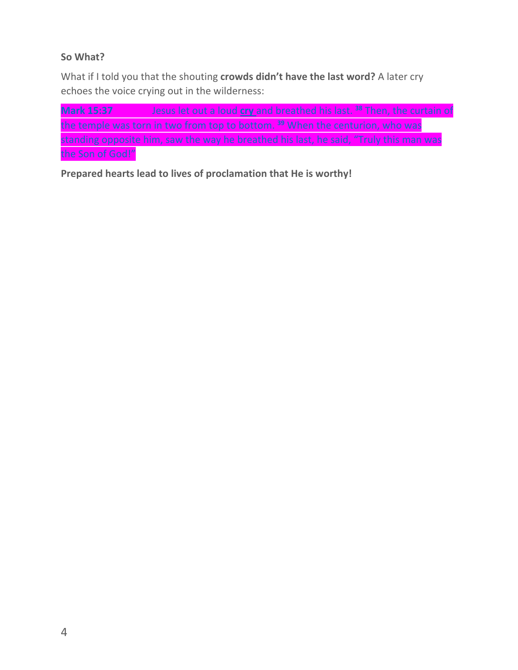## **So What?**

What if I told you that the shouting **crowds didn't have the last word?** A later cry echoes the voice crying out in the wilderness:

**Mark 15:37** Jesus let out a loud **cry** and breathed his last. **<sup>38</sup>** Then, the curtain of the temple was torn in two from top to bottom. **<sup>39</sup>** When the centurion, who was standing opposite him, saw the way he breathed his last, he said, "Truly this man was the Son of God!"

**Prepared hearts lead to lives of proclamation that He is worthy!**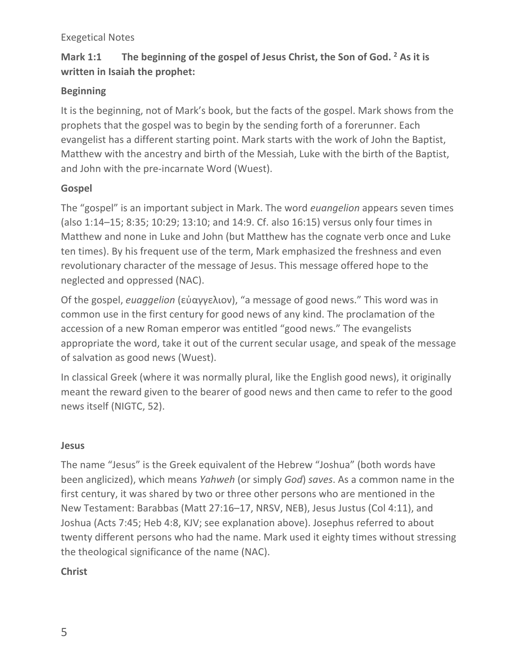### Exegetical Notes

# **Mark 1:1 The beginning of the gospel of Jesus Christ, the Son of God. 2 As it is written in Isaiah the prophet:**

### **Beginning**

It is the beginning, not of Mark's book, but the facts of the gospel. Mark shows from the prophets that the gospel was to begin by the sending forth of a forerunner. Each evangelist has a different starting point. Mark starts with the work of John the Baptist, Matthew with the ancestry and birth of the Messiah, Luke with the birth of the Baptist, and John with the pre-incarnate Word (Wuest).

### **Gospel**

The "gospel" is an important subject in Mark. The word *euangelion* appears seven times (also 1:14–15; 8:35; 10:29; 13:10; and 14:9. Cf. also 16:15) versus only four times in Matthew and none in Luke and John (but Matthew has the cognate verb once and Luke ten times). By his frequent use of the term, Mark emphasized the freshness and even revolutionary character of the message of Jesus. This message offered hope to the neglected and oppressed (NAC).

Of the gospel, *euaggelion* (εὐαγγελιον), "a message of good news." This word was in common use in the first century for good news of any kind. The proclamation of the accession of a new Roman emperor was entitled "good news." The evangelists appropriate the word, take it out of the current secular usage, and speak of the message of salvation as good news (Wuest).

In classical Greek (where it was normally plural, like the English good news), it originally meant the reward given to the bearer of good news and then came to refer to the good news itself (NIGTC, 52).

## **Jesus**

The name "Jesus" is the Greek equivalent of the Hebrew "Joshua" (both words have been anglicized), which means *Yahweh* (or simply *God*) *saves*. As a common name in the first century, it was shared by two or three other persons who are mentioned in the New Testament: Barabbas (Matt 27:16–17, NRSV, NEB), Jesus Justus (Col 4:11), and Joshua (Acts 7:45; Heb 4:8, KJV; see explanation above). Josephus referred to about twenty different persons who had the name. Mark used it eighty times without stressing the theological significance of the name (NAC).

## **Christ**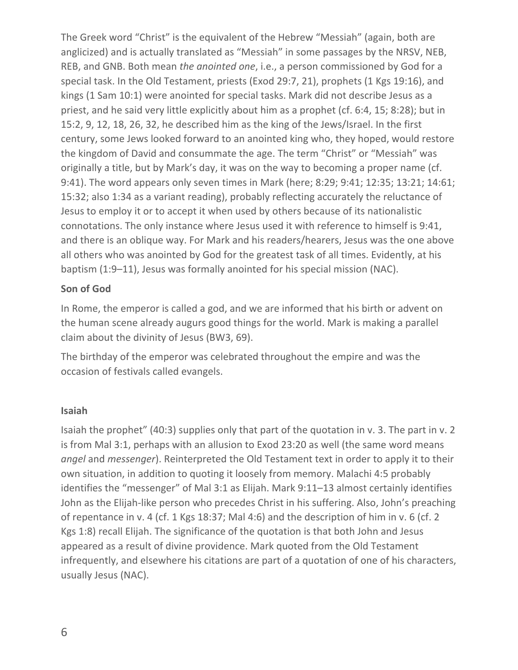The Greek word "Christ" is the equivalent of the Hebrew "Messiah" (again, both are anglicized) and is actually translated as "Messiah" in some passages by the NRSV, NEB, REB, and GNB. Both mean *the anointed one*, i.e., a person commissioned by God for a special task. In the Old Testament, priests (Exod 29:7, 21), prophets (1 Kgs 19:16), and kings (1 Sam 10:1) were anointed for special tasks. Mark did not describe Jesus as a priest, and he said very little explicitly about him as a prophet (cf. 6:4, 15; 8:28); but in 15:2, 9, 12, 18, 26, 32, he described him as the king of the Jews/Israel. In the first century, some Jews looked forward to an anointed king who, they hoped, would restore the kingdom of David and consummate the age. The term "Christ" or "Messiah" was originally a title, but by Mark's day, it was on the way to becoming a proper name (cf. 9:41). The word appears only seven times in Mark (here; 8:29; 9:41; 12:35; 13:21; 14:61; 15:32; also 1:34 as a variant reading), probably reflecting accurately the reluctance of Jesus to employ it or to accept it when used by others because of its nationalistic connotations. The only instance where Jesus used it with reference to himself is 9:41, and there is an oblique way. For Mark and his readers/hearers, Jesus was the one above all others who was anointed by God for the greatest task of all times. Evidently, at his baptism (1:9–11), Jesus was formally anointed for his special mission (NAC).

#### **Son of God**

In Rome, the emperor is called a god, and we are informed that his birth or advent on the human scene already augurs good things for the world. Mark is making a parallel claim about the divinity of Jesus (BW3, 69).

The birthday of the emperor was celebrated throughout the empire and was the occasion of festivals called evangels.

#### **Isaiah**

Isaiah the prophet" (40:3) supplies only that part of the quotation in v. 3. The part in v. 2 is from Mal 3:1, perhaps with an allusion to Exod 23:20 as well (the same word means *angel* and *messenger*). Reinterpreted the Old Testament text in order to apply it to their own situation, in addition to quoting it loosely from memory. Malachi 4:5 probably identifies the "messenger" of Mal 3:1 as Elijah. Mark 9:11–13 almost certainly identifies John as the Elijah-like person who precedes Christ in his suffering. Also, John's preaching of repentance in v. 4 (cf. 1 Kgs 18:37; Mal 4:6) and the description of him in v. 6 (cf. 2 Kgs 1:8) recall Elijah. The significance of the quotation is that both John and Jesus appeared as a result of divine providence. Mark quoted from the Old Testament infrequently, and elsewhere his citations are part of a quotation of one of his characters, usually Jesus (NAC).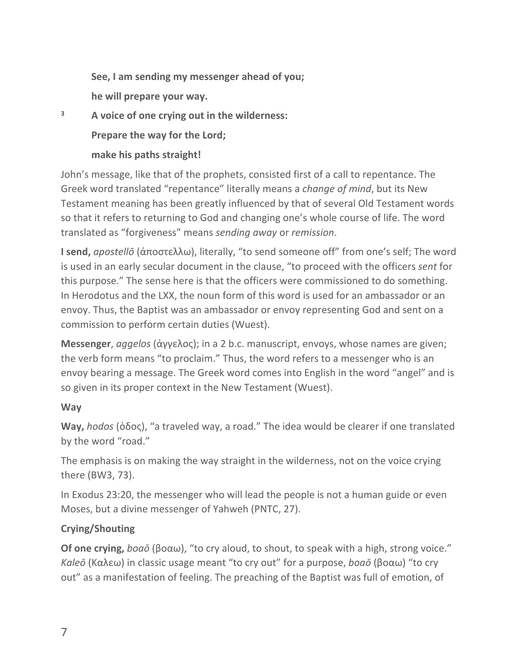**See, I am sending my messenger ahead of you; he will prepare your way.**

**<sup>3</sup> A voice of one crying out in the wilderness:** 

**Prepare the way for the Lord;** 

# **make his paths straight!**

John's message, like that of the prophets, consisted first of a call to repentance. The Greek word translated "repentance" literally means a *change of mind*, but its New Testament meaning has been greatly influenced by that of several Old Testament words so that it refers to returning to God and changing one's whole course of life. The word translated as "forgiveness" means *sending away* or *remission*.

**I send,** *apostellō* (ἀποστελλω), literally, "to send someone off" from one's self; The word is used in an early secular document in the clause, "to proceed with the officers *sent* for this purpose." The sense here is that the officers were commissioned to do something. In Herodotus and the LXX, the noun form of this word is used for an ambassador or an envoy. Thus, the Baptist was an ambassador or envoy representing God and sent on a commission to perform certain duties (Wuest).

**Messenger**, *aggelos* (ἀγγελος); in a 2 b.c. manuscript, envoys, whose names are given; the verb form means "to proclaim." Thus, the word refers to a messenger who is an envoy bearing a message. The Greek word comes into English in the word "angel" and is so given in its proper context in the New Testament (Wuest).

# **Way**

**Way,** *hodos* (ὁδος), "a traveled way, a road." The idea would be clearer if one translated by the word "road."

The emphasis is on making the way straight in the wilderness, not on the voice crying there (BW3, 73).

In Exodus 23:20, the messenger who will lead the people is not a human guide or even Moses, but a divine messenger of Yahweh (PNTC, 27).

# **Crying/Shouting**

**Of one crying,** *boaō* (βοαω), "to cry aloud, to shout, to speak with a high, strong voice." *Kaleō* (Καλεω) in classic usage meant "to cry out" for a purpose, *boaō* (βοαω) "to cry out" as a manifestation of feeling. The preaching of the Baptist was full of emotion, of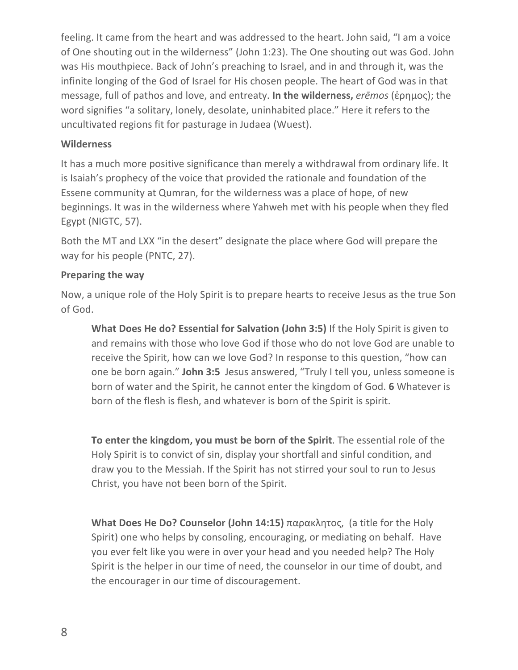feeling. It came from the heart and was addressed to the heart. John said, "I am a voice of One shouting out in the wilderness" (John 1:23). The One shouting out was God. John was His mouthpiece. Back of John's preaching to Israel, and in and through it, was the infinite longing of the God of Israel for His chosen people. The heart of God was in that message, full of pathos and love, and entreaty. **In the wilderness,** *erēmos* (ἐρημος); the word signifies "a solitary, lonely, desolate, uninhabited place." Here it refers to the uncultivated regions fit for pasturage in Judaea (Wuest).

#### **Wilderness**

It has a much more positive significance than merely a withdrawal from ordinary life. It is Isaiah's prophecy of the voice that provided the rationale and foundation of the Essene community at Qumran, for the wilderness was a place of hope, of new beginnings. It was in the wilderness where Yahweh met with his people when they fled Egypt (NIGTC, 57).

Both the MT and LXX "in the desert" designate the place where God will prepare the way for his people (PNTC, 27).

#### **Preparing the way**

Now, a unique role of the Holy Spirit is to prepare hearts to receive Jesus as the true Son of God.

**What Does He do? Essential for Salvation (John 3:5)** If the Holy Spirit is given to and remains with those who love God if those who do not love God are unable to receive the Spirit, how can we love God? In response to this question, "how can one be born again." **John 3:5** Jesus answered, "Truly I tell you, unless someone is born of water and the Spirit, he cannot enter the kingdom of God. **6** Whatever is born of the flesh is flesh, and whatever is born of the Spirit is spirit.

**To enter the kingdom, you must be born of the Spirit**. The essential role of the Holy Spirit is to convict of sin, display your shortfall and sinful condition, and draw you to the Messiah. If the Spirit has not stirred your soul to run to Jesus Christ, you have not been born of the Spirit.

**What Does He Do? Counselor (John 14:15)** παρακλητος, (a title for the Holy Spirit) one who helps by consoling, encouraging, or mediating on behalf. Have you ever felt like you were in over your head and you needed help? The Holy Spirit is the helper in our time of need, the counselor in our time of doubt, and the encourager in our time of discouragement.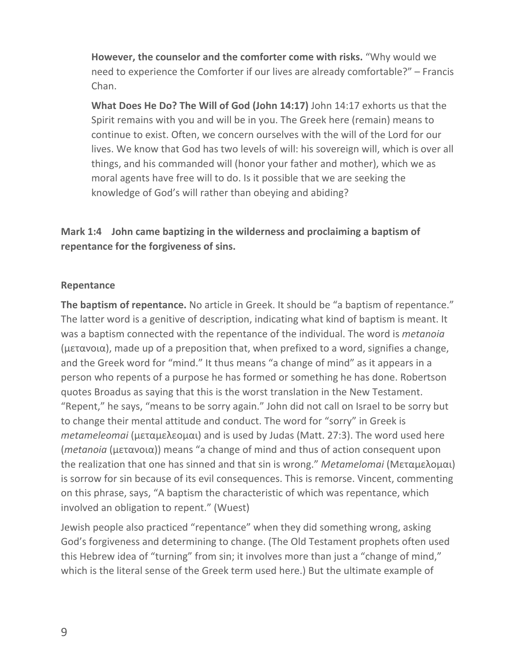**However, the counselor and the comforter come with risks.** "Why would we need to experience the Comforter if our lives are already comfortable?" – Francis Chan.

**What Does He Do? The Will of God (John 14:17)** John 14:17 exhorts us that the Spirit remains with you and will be in you. The Greek here (remain) means to continue to exist. Often, we concern ourselves with the will of the Lord for our lives. We know that God has two levels of will: his sovereign will, which is over all things, and his commanded will (honor your father and mother), which we as moral agents have free will to do. Is it possible that we are seeking the knowledge of God's will rather than obeying and abiding?

**Mark 1:4 John came baptizing in the wilderness and proclaiming a baptism of repentance for the forgiveness of sins.**

#### **Repentance**

**The baptism of repentance.** No article in Greek. It should be "a baptism of repentance." The latter word is a genitive of description, indicating what kind of baptism is meant. It was a baptism connected with the repentance of the individual. The word is *metanoia* (μετανοια), made up of a preposition that, when prefixed to a word, signifies a change, and the Greek word for "mind." It thus means "a change of mind" as it appears in a person who repents of a purpose he has formed or something he has done. Robertson quotes Broadus as saying that this is the worst translation in the New Testament. "Repent," he says, "means to be sorry again." John did not call on Israel to be sorry but to change their mental attitude and conduct. The word for "sorry" in Greek is *metameleomai* (μεταμελεομαι) and is used by Judas (Matt. 27:3). The word used here (*metanoia* (μετανοια)) means "a change of mind and thus of action consequent upon the realization that one has sinned and that sin is wrong." *Metamelomai* (Μεταμελομαι) is sorrow for sin because of its evil consequences. This is remorse. Vincent, commenting on this phrase, says, "A baptism the characteristic of which was repentance, which involved an obligation to repent." (Wuest)

Jewish people also practiced "repentance" when they did something wrong, asking God's forgiveness and determining to change. (The Old Testament prophets often used this Hebrew idea of "turning" from sin; it involves more than just a "change of mind," which is the literal sense of the Greek term used here.) But the ultimate example of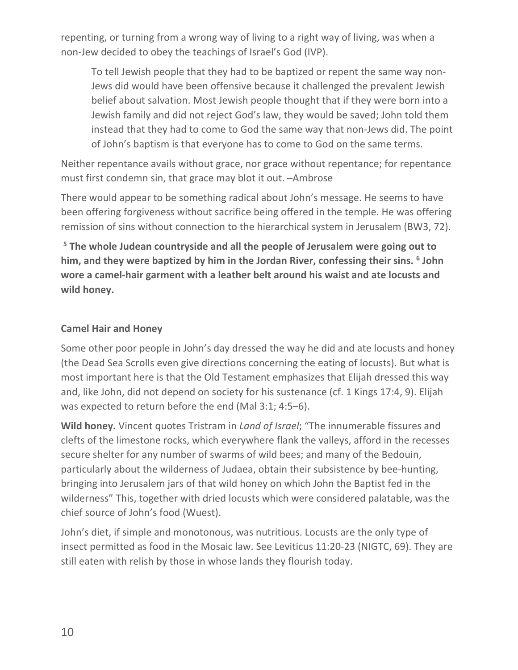repenting, or turning from a wrong way of living to a right way of living, was when a non-Jew decided to obey the teachings of Israel's God (IVP).

To tell Jewish people that they had to be baptized or repent the same way non-Jews did would have been offensive because it challenged the prevalent Jewish belief about salvation. Most Jewish people thought that if they were born into a Jewish family and did not reject God's law, they would be saved; John told them instead that they had to come to God the same way that non-Jews did. The point of John's baptism is that everyone has to come to God on the same terms.

Neither repentance avails without grace, nor grace without repentance; for repentance must first condemn sin, that grace may blot it out. –Ambrose

There would appear to be something radical about John's message. He seems to have been offering forgiveness without sacrifice being offered in the temple. He was offering remission of sins without connection to the hierarchical system in Jerusalem (BW3, 72).

**<sup>5</sup> The whole Judean countryside and all the people of Jerusalem were going out to him, and they were baptized by him in the Jordan River, confessing their sins. 6 John wore a camel-hair garment with a leather belt around his waist and ate locusts and wild honey.**

### **Camel Hair and Honey**

Some other poor people in John's day dressed the way he did and ate locusts and honey (the Dead Sea Scrolls even give directions concerning the eating of locusts). But what is most important here is that the Old Testament emphasizes that Elijah dressed this way and, like John, did not depend on society for his sustenance (cf. 1 Kings 17:4, 9). Elijah was expected to return before the end (Mal 3:1; 4:5–6).

**Wild honey.** Vincent quotes Tristram in *Land of Israel*; "The innumerable fissures and clefts of the limestone rocks, which everywhere flank the valleys, afford in the recesses secure shelter for any number of swarms of wild bees; and many of the Bedouin, particularly about the wilderness of Judaea, obtain their subsistence by bee-hunting, bringing into Jerusalem jars of that wild honey on which John the Baptist fed in the wilderness" This, together with dried locusts which were considered palatable, was the chief source of John's food (Wuest).

John's diet, if simple and monotonous, was nutritious. Locusts are the only type of insect permitted as food in the Mosaic law. See Leviticus 11:20-23 (NIGTC, 69). They are still eaten with relish by those in whose lands they flourish today.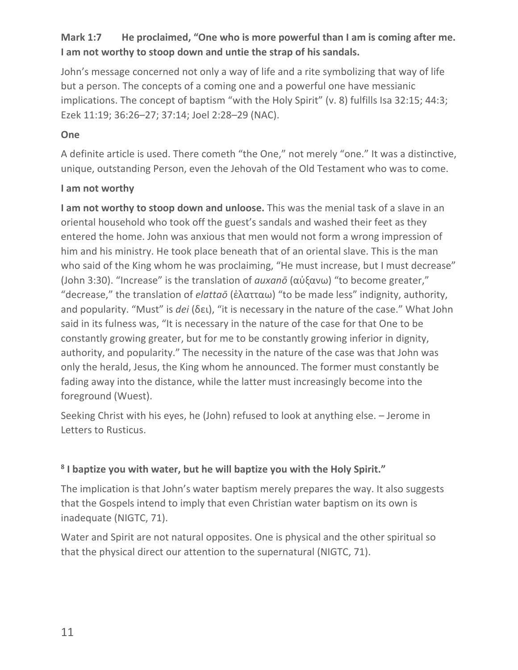# **Mark 1:7 He proclaimed, "One who is more powerful than I am is coming after me. I am not worthy to stoop down and untie the strap of his sandals.**

John's message concerned not only a way of life and a rite symbolizing that way of life but a person. The concepts of a coming one and a powerful one have messianic implications. The concept of baptism "with the Holy Spirit" (v. 8) fulfills Isa 32:15; 44:3; Ezek 11:19; 36:26–27; 37:14; Joel 2:28–29 (NAC).

### **One**

A definite article is used. There cometh "the One," not merely "one." It was a distinctive, unique, outstanding Person, even the Jehovah of the Old Testament who was to come.

#### **I am not worthy**

**I am not worthy to stoop down and unloose.** This was the menial task of a slave in an oriental household who took off the guest's sandals and washed their feet as they entered the home. John was anxious that men would not form a wrong impression of him and his ministry. He took place beneath that of an oriental slave. This is the man who said of the King whom he was proclaiming, "He must increase, but I must decrease" (John 3:30). "Increase" is the translation of *auxanō* (αὐξανω) "to become greater," "decrease," the translation of *elattaō* (ἐλατταω) "to be made less" indignity, authority, and popularity. "Must" is *dei* (δει), "it is necessary in the nature of the case." What John said in its fulness was, "It is necessary in the nature of the case for that One to be constantly growing greater, but for me to be constantly growing inferior in dignity, authority, and popularity." The necessity in the nature of the case was that John was only the herald, Jesus, the King whom he announced. The former must constantly be fading away into the distance, while the latter must increasingly become into the foreground (Wuest).

Seeking Christ with his eyes, he (John) refused to look at anything else. – Jerome in Letters to Rusticus.

## **<sup>8</sup> I baptize you with water, but he will baptize you with the Holy Spirit."**

The implication is that John's water baptism merely prepares the way. It also suggests that the Gospels intend to imply that even Christian water baptism on its own is inadequate (NIGTC, 71).

Water and Spirit are not natural opposites. One is physical and the other spiritual so that the physical direct our attention to the supernatural (NIGTC, 71).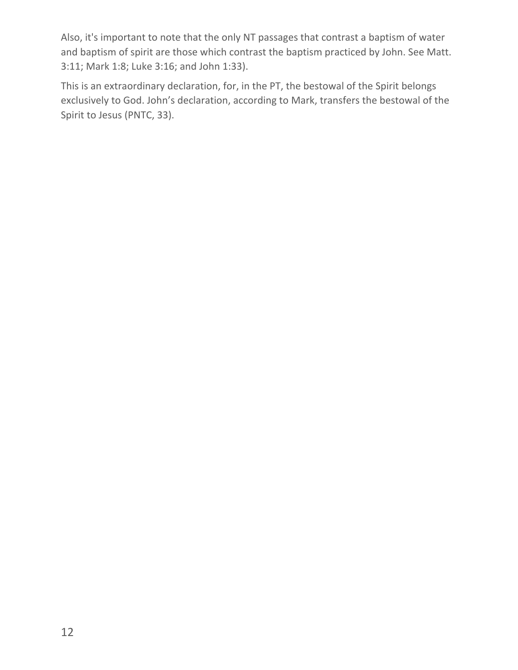Also, it's important to note that the only NT passages that contrast a baptism of water and baptism of spirit are those which contrast the baptism practiced by John. See Matt. 3:11; Mark 1:8; Luke 3:16; and John 1:33).

This is an extraordinary declaration, for, in the PT, the bestowal of the Spirit belongs exclusively to God. John's declaration, according to Mark, transfers the bestowal of the Spirit to Jesus (PNTC, 33).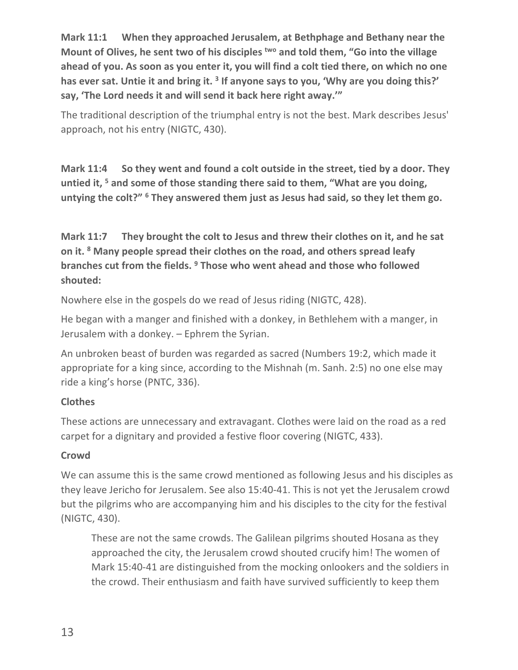**Mark 11:1 When they approached Jerusalem, at Bethphage and Bethany near the Mount of Olives, he sent two of his disciples two and told them, "Go into the village ahead of you. As soon as you enter it, you will find a colt tied there, on which no one has ever sat. Untie it and bring it. 3 If anyone says to you, 'Why are you doing this?' say, 'The Lord needs it and will send it back here right away.'"**

The traditional description of the triumphal entry is not the best. Mark describes Jesus' approach, not his entry (NIGTC, 430).

**Mark 11:4 So they went and found a colt outside in the street, tied by a door. They untied it, 5 and some of those standing there said to them, "What are you doing, untying the colt?" 6 They answered them just as Jesus had said, so they let them go.**

**Mark 11:7 They brought the colt to Jesus and threw their clothes on it, and he sat on it. 8 Many people spread their clothes on the road, and others spread leafy branches cut from the fields. 9 Those who went ahead and those who followed shouted:** 

Nowhere else in the gospels do we read of Jesus riding (NIGTC, 428).

He began with a manger and finished with a donkey, in Bethlehem with a manger, in Jerusalem with a donkey. – Ephrem the Syrian.

An unbroken beast of burden was regarded as sacred (Numbers 19:2, which made it appropriate for a king since, according to the Mishnah (m. Sanh. 2:5) no one else may ride a king's horse (PNTC, 336).

# **Clothes**

These actions are unnecessary and extravagant. Clothes were laid on the road as a red carpet for a dignitary and provided a festive floor covering (NIGTC, 433).

# **Crowd**

We can assume this is the same crowd mentioned as following Jesus and his disciples as they leave Jericho for Jerusalem. See also 15:40-41. This is not yet the Jerusalem crowd but the pilgrims who are accompanying him and his disciples to the city for the festival (NIGTC, 430).

These are not the same crowds. The Galilean pilgrims shouted Hosana as they approached the city, the Jerusalem crowd shouted crucify him! The women of Mark 15:40-41 are distinguished from the mocking onlookers and the soldiers in the crowd. Their enthusiasm and faith have survived sufficiently to keep them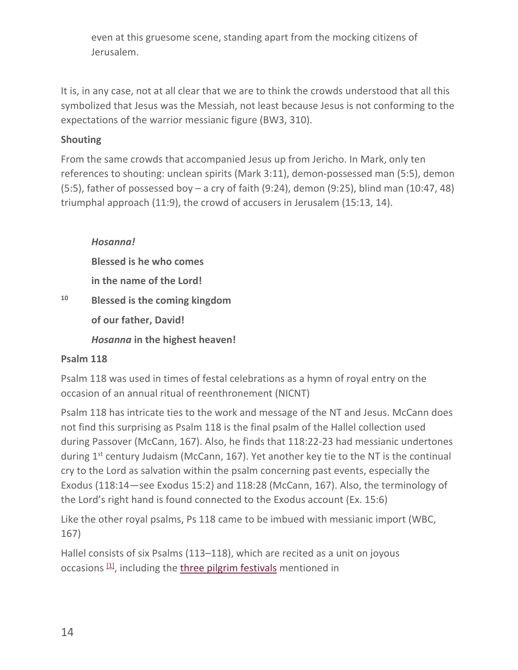even at this gruesome scene, standing apart from the mocking citizens of Jerusalem.

It is, in any case, not at all clear that we are to think the crowds understood that all this symbolized that Jesus was the Messiah, not least because Jesus is not conforming to the expectations of the warrior messianic figure (BW3, 310).

## **Shouting**

From the same crowds that accompanied Jesus up from Jericho. In Mark, only ten references to shouting: unclean spirits (Mark 3:11), demon-possessed man (5:5), demon (5:5), father of possessed boy – a cry of faith (9:24), demon (9:25), blind man (10:47, 48) triumphal approach (11:9), the crowd of accusers in Jerusalem (15:13, 14).

## *Hosanna!*

**Blessed is he who comes** 

**in the name of the Lord!**

**<sup>10</sup> Blessed is the coming kingdom** 

**of our father, David!** 

*Hosanna* **in the highest heaven!**

# **Psalm 118**

Psalm 118 was used in times of festal celebrations as a hymn of royal entry on the occasion of an annual ritual of reenthronement (NICNT)

Psalm 118 has intricate ties to the work and message of the NT and Jesus. McCann does not find this surprising as Psalm 118 is the final psalm of the Hallel collection used during Passover (McCann, 167). Also, he finds that 118:22-23 had messianic undertones during 1<sup>st</sup> century Judaism (McCann, 167). Yet another key tie to the NT is the continual cry to the Lord as salvation within the psalm concerning past events, especially the Exodus (118:14—see Exodus 15:2) and 118:28 (McCann, 167). Also, the terminology of the Lord's right hand is found connected to the Exodus account (Ex. 15:6)

Like the other royal psalms, Ps 118 came to be imbued with messianic import (WBC, 167)

Hallel consists of six Psalms (113–118), which are recited as a unit on joyous occasions  $[1]$ , including the three pilgrim festivals mentioned in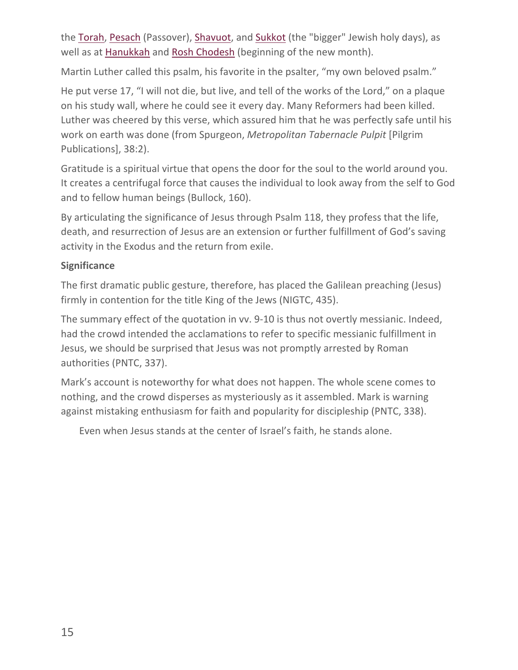the Torah, Pesach (Passover), Shavuot, and Sukkot (the "bigger" Jewish holy days), as well as at Hanukkah and Rosh Chodesh (beginning of the new month).

Martin Luther called this psalm, his favorite in the psalter, "my own beloved psalm."

He put verse 17, "I will not die, but live, and tell of the works of the Lord," on a plaque on his study wall, where he could see it every day. Many Reformers had been killed. Luther was cheered by this verse, which assured him that he was perfectly safe until his work on earth was done (from Spurgeon, *Metropolitan Tabernacle Pulpit* [Pilgrim Publications], 38:2).

Gratitude is a spiritual virtue that opens the door for the soul to the world around you. It creates a centrifugal force that causes the individual to look away from the self to God and to fellow human beings (Bullock, 160).

By articulating the significance of Jesus through Psalm 118, they profess that the life, death, and resurrection of Jesus are an extension or further fulfillment of God's saving activity in the Exodus and the return from exile.

## **Significance**

The first dramatic public gesture, therefore, has placed the Galilean preaching (Jesus) firmly in contention for the title King of the Jews (NIGTC, 435).

The summary effect of the quotation in vv. 9-10 is thus not overtly messianic. Indeed, had the crowd intended the acclamations to refer to specific messianic fulfillment in Jesus, we should be surprised that Jesus was not promptly arrested by Roman authorities (PNTC, 337).

Mark's account is noteworthy for what does not happen. The whole scene comes to nothing, and the crowd disperses as mysteriously as it assembled. Mark is warning against mistaking enthusiasm for faith and popularity for discipleship (PNTC, 338).

Even when Jesus stands at the center of Israel's faith, he stands alone.